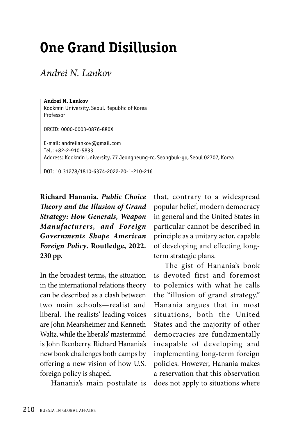## **One Grand Disillusion**

*Andrei N. Lankov* 

**Andrei N. Lankov** Kookmin University, Seoul, Republic of Korea Professor

ORCID: 0000-0003-0876-880X

E-mail: andreilankov@gmail.com Tel.: +82-2-910-5833 Address: Kookmin University, 77 Jeongneung-ro, Seongbuk-gu, Seoul 02707, Korea

DOI: 10.31278/1810-6374-2022-20-1-210-216

**Richard Hanania.** *Public Choice Theory and the Illusion of Grand Strategy: How Generals, Weapon Manufacturers, and Foreign Governments Shape American Foreign Policy***. Routledge, 2022. 230 pp.**

In the broadest terms, the situation in the international relations theory can be described as a clash between two main schools—realist and liberal. The realists' leading voices are John Mearsheimer and Kenneth Waltz, while the liberals' mastermind is John Ikenberry. Richard Hanania's new book challenges both camps by offering a new vision of how U.S. foreign policy is shaped.

Hanania's main postulate is

that, contrary to a widespread popular belief, modern democracy in general and the United States in particular cannot be described in principle as a unitary actor, capable of developing and effecting longterm strategic plans.

The gist of Hanania's book is devoted first and foremost to polemics with what he calls the "illusion of grand strategy." Hanania argues that in most situations, both the United States and the majority of other democracies are fundamentally incapable of developing and implementing long-term foreign policies. However, Hanania makes a reservation that this observation does not apply to situations where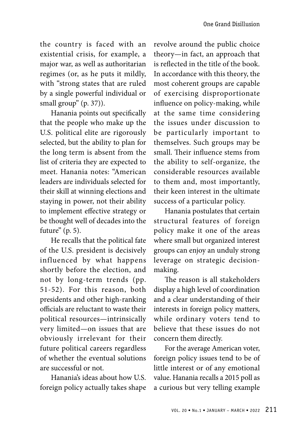the country is faced with an existential crisis, for example, a major war, as well as authoritarian regimes (or, as he puts it mildly, with "strong states that are ruled by a single powerful individual or small group" (p. 37)).

Hanania points out specifically that the people who make up the U.S. political elite are rigorously selected, but the ability to plan for the long term is absent from the list of criteria they are expected to meet. Hanania notes: "American leaders are individuals selected for their skill at winning elections and staying in power, not their ability to implement effective strategy or be thought well of decades into the future" (p. 5).

He recalls that the political fate of the U.S. president is decisively influenced by what happens shortly before the election, and not by long-term trends (pp. 51-52). For this reason, both presidents and other high-ranking officials are reluctant to waste their political resources—intrinsically very limited—on issues that are obviously irrelevant for their future political careers regardless of whether the eventual solutions are successful or not.

Hanania's ideas about how U.S. foreign policy actually takes shape revolve around the public choice theory—in fact, an approach that is reflected in the title of the book. In accordance with this theory, the most coherent groups are capable of exercising disproportionate influence on policy-making, while at the same time considering the issues under discussion to be particularly important to themselves. Such groups may be small. Their influence stems from the ability to self-organize, the considerable resources available to them and, most importantly, their keen interest in the ultimate success of a particular policy.

Hanania postulates that certain structural features of foreign policy make it one of the areas where small but organized interest groups can enjoy an unduly strong leverage on strategic decisionmaking.

The reason is all stakeholders display a high level of coordination and a clear understanding of their interests in foreign policy matters, while ordinary voters tend to believe that these issues do not concern them directly.

For the average American voter, foreign policy issues tend to be of little interest or of any emotional value. Hanania recalls a 2015 poll as a curious but very telling example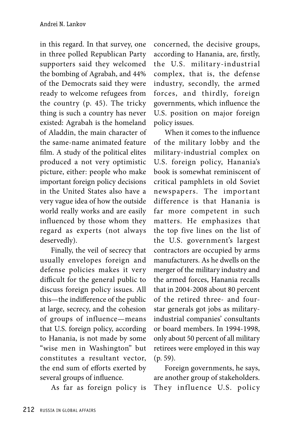in this regard. In that survey, one in three polled Republican Party supporters said they welcomed the bombing of Agrabah, and 44% of the Democrats said they were ready to welcome refugees from the country (p. 45). The tricky thing is such a country has never existed: Agrabah is the homeland of Aladdin, the main character of the same-name animated feature film. A study of the political elites produced a not very optimistic picture, either: people who make important foreign policy decisions in the United States also have a very vague idea of how the outside world really works and are easily influenced by those whom they regard as experts (not always deservedly).

Finally, the veil of secrecy that usually envelopes foreign and defense policies makes it very difficult for the general public to discuss foreign policy issues. All this—the indifference of the public at large, secrecy, and the cohesion of groups of influence—means that U.S. foreign policy, according to Hanania, is not made by some "wise men in Washington" but constitutes a resultant vector, the end sum of efforts exerted by several groups of influence.

As far as foreign policy is

concerned, the decisive groups, according to Hanania, are, firstly, the U.S. military-industrial complex, that is, the defense industry, secondly, the armed forces, and thirdly, foreign governments, which influence the U.S. position on major foreign policy issues.

When it comes to the influence of the military lobby and the military-industrial complex on U.S. foreign policy, Hanania's book is somewhat reminiscent of critical pamphlets in old Soviet newspapers. The important difference is that Hanania is far more competent in such matters. He emphasizes that the top five lines on the list of the U.S. government's largest contractors are occupied by arms manufacturers. As he dwells on the merger of the military industry and the armed forces, Hanania recalls that in 2004-2008 about 80 percent of the retired three- and fourstar generals got jobs as militaryindustrial companies' consultants or board members. In 1994-1998, only about 50 percent of all military retirees were employed in this way (p. 59).

Foreign governments, he says, are another group of stakeholders. They influence U.S. policy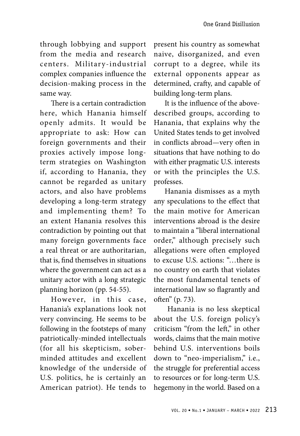through lobbying and support from the media and research centers. Military-industrial complex companies influence the decision-making process in the same way.

There is a certain contradiction here, which Hanania himself openly admits. It would be appropriate to ask: How can foreign governments and their proxies actively impose longterm strategies on Washington if, according to Hanania, they cannot be regarded as unitary actors, and also have problems developing a long-term strategy and implementing them? To an extent Hanania resolves this contradiction by pointing out that many foreign governments face a real threat or are authoritarian, that is, find themselves in situations where the government can act as a unitary actor with a long strategic planning horizon (pp. 54-55).

However, in this case, Hanania's explanations look not very convincing. He seems to be following in the footsteps of many patriotically-minded intellectuals (for all his skepticism, soberminded attitudes and excellent knowledge of the underside of U.S. politics, he is certainly an American patriot). He tends to present his country as somewhat naive, disorganized, and even corrupt to a degree, while its external opponents appear as determined, crafty, and capable of building long-term plans.

It is the influence of the abovedescribed groups, according to Hanania, that explains why the United States tends to get involved in conflicts abroad—very often in situations that have nothing to do with either pragmatic U.S. interests or with the principles the U.S. professes.

Hanania dismisses as a myth any speculations to the effect that the main motive for American interventions abroad is the desire to maintain a "liberal international order," although precisely such allegations were often employed to excuse U.S. actions: "…there is no country on earth that violates the most fundamental tenets of international law so flagrantly and often" (p. 73).

 Hanania is no less skeptical about the U.S. foreign policy's criticism "from the left," in other words, claims that the main motive behind U.S. interventions boils down to "neo-imperialism," i.e., the struggle for preferential access to resources or for long-term U.S. hegemony in the world. Based on a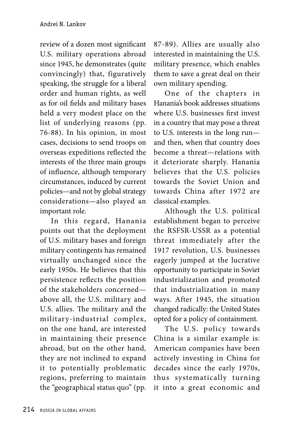review of a dozen most significant U.S. military operations abroad since 1945, he demonstrates (quite convincingly) that, figuratively speaking, the struggle for a liberal order and human rights, as well as for oil fields and military bases held a very modest place on the list of underlying reasons (pp. 76-88). In his opinion, in most cases, decisions to send troops on overseas expeditions reflected the interests of the three main groups of influence, although temporary circumstances, induced by current policies—and not by global strategy considerations—also played an important role.

In this regard, Hanania points out that the deployment of U.S. military bases and foreign military contingents has remained virtually unchanged since the early 1950s. He believes that this persistence reflects the position of the stakeholders concerned above all, the U.S. military and U.S. allies. The military and the military-industrial complex, on the one hand, are interested in maintaining their presence abroad, but on the other hand, they are not inclined to expand it to potentially problematic regions, preferring to maintain the "geographical status quo" (pp.

87-89). Allies are usually also interested in maintaining the U.S. military presence, which enables them to save a great deal on their own military spending.

One of the chapters in Hanania's book addresses situations where U.S. businesses first invest in a country that may pose a threat to U.S. interests in the long run and then, when that country does become a threat—relations with it deteriorate sharply. Hanania believes that the U.S. policies towards the Soviet Union and towards China after 1972 are classical examples.

Although the U.S. political establishment began to perceive the RSFSR-USSR as a potential threat immediately after the 1917 revolution, U.S. businesses eagerly jumped at the lucrative opportunity to participate in Soviet industrialization and promoted that industrialization in many ways. After 1945, the situation changed radically: the United States opted for a policy of containment.

The U.S. policy towards China is a similar example is: American companies have been actively investing in China for decades since the early 1970s, thus systematically turning it into a great economic and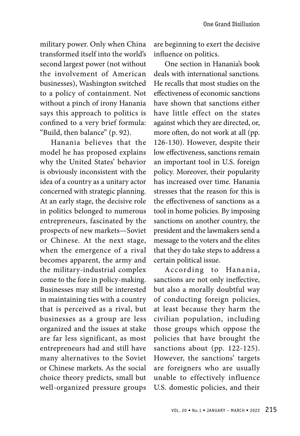military power. Only when China transformed itself into the world's second largest power (not without the involvement of American businesses), Washington switched to a policy of containment. Not without a pinch of irony Hanania says this approach to politics is confined to a very brief formula: "Build, then balance" (p. 92).

Hanania believes that the model he has proposed explains why the United States' behavior is obviously inconsistent with the idea of a country as a unitary actor concerned with strategic planning. At an early stage, the decisive role in politics belonged to numerous entrepreneurs, fascinated by the prospects of new markets—Soviet or Chinese. At the next stage, when the emergence of a rival becomes apparent, the army and the military-industrial complex come to the fore in policy-making. Businesses may still be interested in maintaining ties with a country that is perceived as a rival, but businesses as a group are less organized and the issues at stake are far less significant, as most entrepreneurs had and still have many alternatives to the Soviet or Chinese markets. As the social choice theory predicts, small but well-organized pressure groups are beginning to exert the decisive influence on politics.

One section in Hanania's book deals with international sanctions. He recalls that most studies on the effectiveness of economic sanctions have shown that sanctions either have little effect on the states against which they are directed, or, more often, do not work at all (pp. 126-130). However, despite their low effectiveness, sanctions remain an important tool in U.S. foreign policy. Moreover, their popularity has increased over time. Hanania stresses that the reason for this is the effectiveness of sanctions as a tool in home policies. By imposing sanctions on another country, the president and the lawmakers send a message to the voters and the elites that they do take steps to address a certain political issue.

According to Hanania, sanctions are not only ineffective, but also a morally doubtful way of conducting foreign policies, at least because they harm the civilian population, including those groups which oppose the policies that have brought the sanctions about (pp. 122-125). However, the sanctions' targets are foreigners who are usually unable to effectively influence U.S. domestic policies, and their